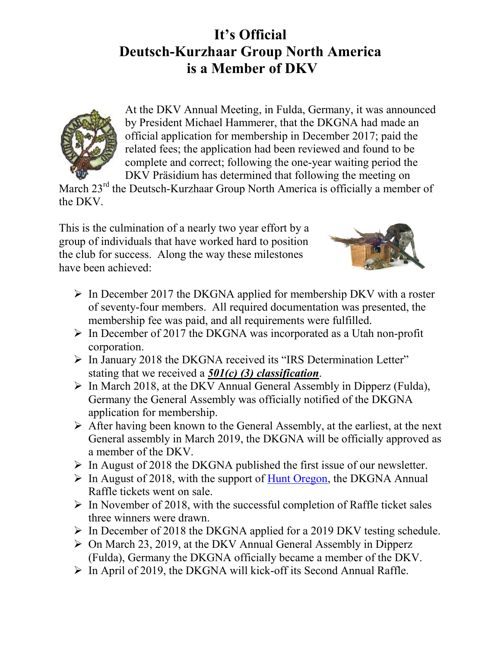## **It's Official Deutsch-Kurzhaar Group North America is a Member of DKV**



At the DKV Annual Meeting, in Fulda, Germany, it was announced by President Michael Hammerer, that the DKGNA had made an official application for membership in December 2017; paid the related fees; the application had been reviewed and found to be complete and correct; following the one-year waiting period the DKV Präsidium has determined that following the meeting on

March 23<sup>rd</sup> the Deutsch-Kurzhaar Group North America is officially a member of the DKV.

This is the culmination of a nearly two year effort by a group of individuals that have worked hard to position the club for success. Along the way these milestones have been achieved:



- $\triangleright$  In December 2017 the DKGNA applied for membership DKV with a roster of seventy-four members. All required documentation was presented, the membership fee was paid, and all requirements were fulfilled.
- $\triangleright$  In December of 2017 the DKGNA was incorporated as a Utah non-profit corporation.
- $\triangleright$  In January 2018 the DKGNA received its "IRS Determination Letter" stating that we received a *501(c) (3) classification*.
- $\triangleright$  In March 2018, at the DKV Annual General Assembly in Dipperz (Fulda), Germany the General Assembly was officially notified of the DKGNA application for membership.
- $\triangleright$  After having been known to the General Assembly, at the earliest, at the next General assembly in March 2019, the DKGNA will be officially approved as a member of the DKV.
- $\triangleright$  In August of 2018 the DKGNA published the first issue of our newsletter.
- $\triangleright$  In August of 2018, with the support of [Hunt Oregon,](http://huntoregonllc.com/) the DKGNA Annual Raffle tickets went on sale.
- $\triangleright$  In November of 2018, with the successful completion of Raffle ticket sales three winners were drawn.
- $\triangleright$  In December of 2018 the DKGNA applied for a 2019 DKV testing schedule.
- $\triangleright$  On March 23, 2019, at the DKV Annual General Assembly in Dipperz (Fulda), Germany the DKGNA officially became a member of the DKV.
- $\triangleright$  In April of 2019, the DKGNA will kick-off its Second Annual Raffle.